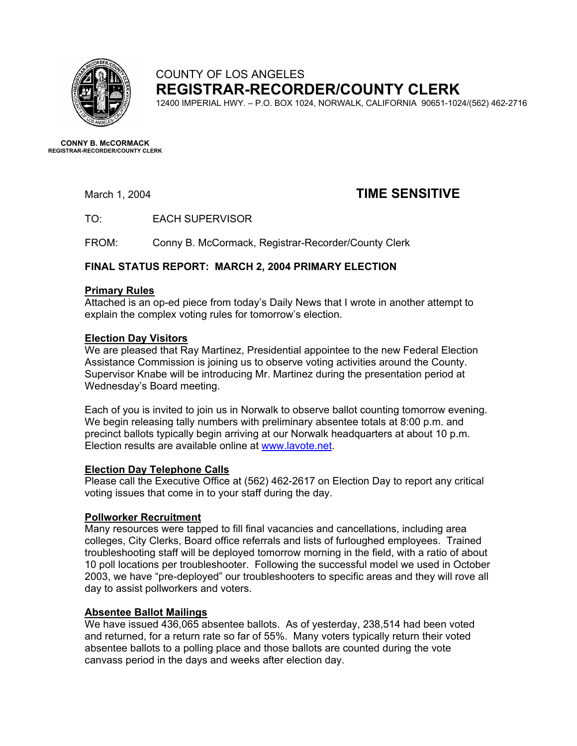

# COUNTY OF LOS ANGELES **REGISTRAR-RECORDER/COUNTY CLERK**

12400 IMPERIAL HWY. – P.O. BOX 1024, NORWALK, CALIFORNIA 90651-1024/(562) 462-2716

**CONNY B. McCORMACK REGISTRAR-RECORDER/COUNTY CLERK** 

# March 1, 2004 **TIME SENSITIVE**

TO: EACH SUPERVISOR

FROM: Conny B. McCormack, Registrar-Recorder/County Clerk

# **FINAL STATUS REPORT: MARCH 2, 2004 PRIMARY ELECTION**

#### **Primary Rules**

Attached is an op-ed piece from today's Daily News that I wrote in another attempt to explain the complex voting rules for tomorrow's election.

# **Election Day Visitors**

We are pleased that Ray Martinez, Presidential appointee to the new Federal Election Assistance Commission is joining us to observe voting activities around the County. Supervisor Knabe will be introducing Mr. Martinez during the presentation period at Wednesday's Board meeting.

Each of you is invited to join us in Norwalk to observe ballot counting tomorrow evening. We begin releasing tally numbers with preliminary absentee totals at 8:00 p.m. and precinct ballots typically begin arriving at our Norwalk headquarters at about 10 p.m. Election results are available online at [www.lavote.net](http://www.lavote.net/).

# **Election Day Telephone Calls**

Please call the Executive Office at (562) 462-2617 on Election Day to report any critical voting issues that come in to your staff during the day.

# **Pollworker Recruitment**

Many resources were tapped to fill final vacancies and cancellations, including area colleges, City Clerks, Board office referrals and lists of furloughed employees. Trained troubleshooting staff will be deployed tomorrow morning in the field, with a ratio of about 10 poll locations per troubleshooter. Following the successful model we used in October 2003, we have "pre-deployed" our troubleshooters to specific areas and they will rove all day to assist pollworkers and voters.

# **Absentee Ballot Mailings**

We have issued 436,065 absentee ballots. As of yesterday, 238,514 had been voted and returned, for a return rate so far of 55%. Many voters typically return their voted absentee ballots to a polling place and those ballots are counted during the vote canvass period in the days and weeks after election day.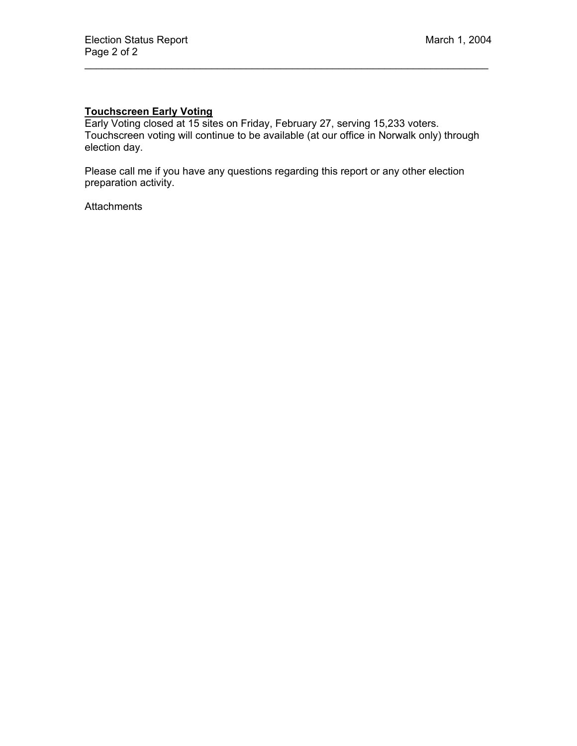# **Touchscreen Early Voting**

Early Voting closed at 15 sites on Friday, February 27, serving 15,233 voters. Touchscreen voting will continue to be available (at our office in Norwalk only) through election day.

 $\mathcal{L}_\mathcal{L} = \mathcal{L}_\mathcal{L} = \mathcal{L}_\mathcal{L} = \mathcal{L}_\mathcal{L} = \mathcal{L}_\mathcal{L} = \mathcal{L}_\mathcal{L} = \mathcal{L}_\mathcal{L} = \mathcal{L}_\mathcal{L} = \mathcal{L}_\mathcal{L} = \mathcal{L}_\mathcal{L} = \mathcal{L}_\mathcal{L} = \mathcal{L}_\mathcal{L} = \mathcal{L}_\mathcal{L} = \mathcal{L}_\mathcal{L} = \mathcal{L}_\mathcal{L} = \mathcal{L}_\mathcal{L} = \mathcal{L}_\mathcal{L}$ 

Please call me if you have any questions regarding this report or any other election preparation activity.

Attachments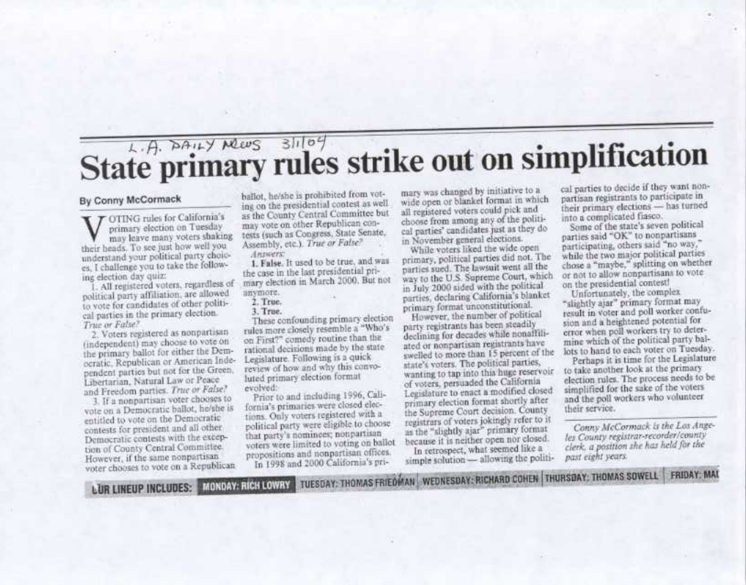# State primary rules strike out on simplification

#### By Conny McCormack

OTING rules for California's primary election on Tuesday may leave many voters shaking their heads. To see just how well you understand your political party choices. I challenge you to take the following election day quiz:

All registered voters, regardless of political party affiliation, are allowed to vote for candidates of other political parties in the primary election. True or False?

2. Voters registered as nonpartisan (independent) may choose to vote on the primary ballot for either the Democratic, Republican or American Independent parties but not for the Green. Libertarian, Natural Law or Peace and Freedom parties. True or False?

3. If a nonpartisan voter chooses to vote on a Democratic ballot, he/she is entitled to vote on the Democratic contests for president and all other Democratic contests with the exception of County Central Committee. However, if the same nonpartisan voter chooses to vote on a Republican

**LUR LINEUP INCLUDES: MONDAY: RICH LOWRY** 

ballot, he/she is prohibited from voting on the presidential contest as well. as the County Central Committee but may vote on other Republican contests (such as Congress, State Senate, Assembly, etc.). True or False?

Amenders I. False. It used to be true, and was

the case in the last presidential primary election in March 2000. But not anymore.

7. True.

#### 3. True.

These confounding primary election rules more closely resemble a "Who's on First?" comedy routine than the rational decisions made by the state Legislature. Following is a quick review of how and why this convoluted primary election format evolved:

Prior to and including 1996, California's primaries were closed elections. Only voters registered with a political party were eligible to choose that party's nominees; nonpartisan voters were limited to voting on ballot propositions and nonpartisan offices. In 1998 and 2000 California's pri-

mary was changed by initiative to a wide open or blanket format in which all registered voters could pick and choose from among any of the political parties' candidates just as they do in November general elections.

While voters liked the wide open primary, political parties did not. The parties sued. The lawsuit went all the way to the U.S. Supreme Court, which in July 2000 sided with the political parties, declaring California's blanket primary format unconstitutional.

However, the number of political party registrants has been steadily declining for decades while nonaffiliated or nonpartisan registrants have swelled to more than 15 percent of the state's voters. The political parties, wanting to tap into this huge reservoir of voters, persuaded the California Legislature to enact a modified closed primary election format shortly after the Supreme Court decision. County registrars of voters jokingly refer to it as the "slightly ajar" primary format because it is neither open nor closed.

In retrospect, what seemed like a simple solution - allowing the politi-

TUESDAY: THOMAS FRIEDMAN WEDNESDAY: RICHARD COHEN THURSDAY: THOMAS SOWELL FRIDAY: MAI

cal parties to decide if they want nonpartisan registrants to participate in their primary elections - has turned into a complicated fiasco.

Some of the state's seven political parties said "OK" to nonpartisans participating, others said "no way," while the two major political parties chose a "maybe," splitting on whether or not to allow nonpartisans to vote on the presidential contest!

Unfortunately, the complex "slightly ajar" primary format may result in voter and poll worker confusion and a heightened potential for error when poll workers try to determine which of the political party ballots to hand to each voter on Tuesday.

Perhaps it is time for the Legislature to take another look at the primary election rules. The process needs to be simplified for the sake of the voters and the poll workers who volunteer their service.

Conny McCormack is the Los Angeles County registrar-recorder/county clerk, a position she has held for the past eight years.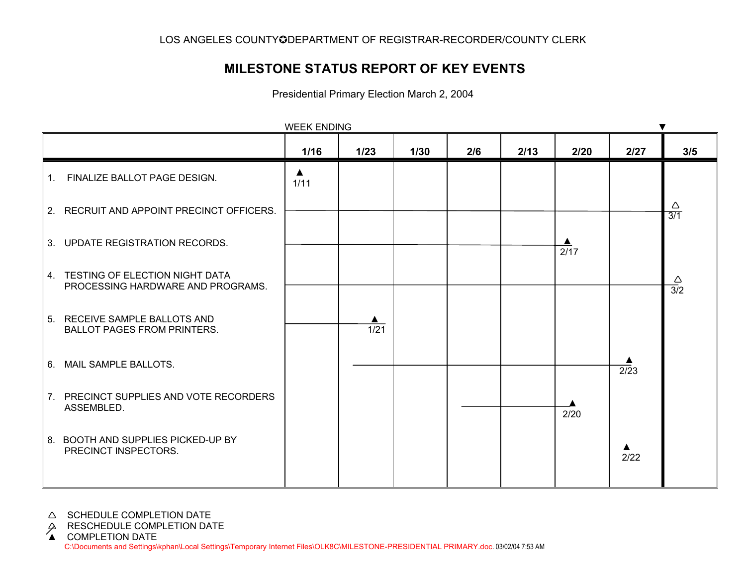# **MILESTONE STATUS REPORT OF KEY EVENTS**

Presidential Primary Election March 2, 2004

|                                                                        | <b>WEEK ENDING</b>       |                |      |     |      |      |                          |                                 |
|------------------------------------------------------------------------|--------------------------|----------------|------|-----|------|------|--------------------------|---------------------------------|
|                                                                        | 1/16                     | $1/23$         | 1/30 | 2/6 | 2/13 | 2/20 | 2/27                     | 3/5                             |
| 1. FINALIZE BALLOT PAGE DESIGN.                                        | $\blacktriangle$<br>1/11 |                |      |     |      |      |                          |                                 |
| 2. RECRUIT AND APPOINT PRECINCT OFFICERS.                              |                          |                |      |     |      |      |                          | $\triangle$<br>$\overline{3/1}$ |
| 3. UPDATE REGISTRATION RECORDS.                                        |                          |                |      |     |      | 2/17 |                          |                                 |
| 4. TESTING OF ELECTION NIGHT DATA<br>PROCESSING HARDWARE AND PROGRAMS. |                          |                |      |     |      |      |                          | $\frac{\triangle}{3/2}$         |
| 5. RECEIVE SAMPLE BALLOTS AND<br><b>BALLOT PAGES FROM PRINTERS.</b>    |                          | $\frac{1}{21}$ |      |     |      |      |                          |                                 |
| 6. MAIL SAMPLE BALLOTS.                                                |                          |                |      |     |      |      | $\overline{2/2}3$        |                                 |
| 7. PRECINCT SUPPLIES AND VOTE RECORDERS<br>ASSEMBLED.                  |                          |                |      |     |      | 2/20 |                          |                                 |
| 8. BOOTH AND SUPPLIES PICKED-UP BY<br>PRECINCT INSPECTORS.             |                          |                |      |     |      |      | $\blacktriangle$<br>2/22 |                                 |

#### A SCHEDULE COMPLETION DATE